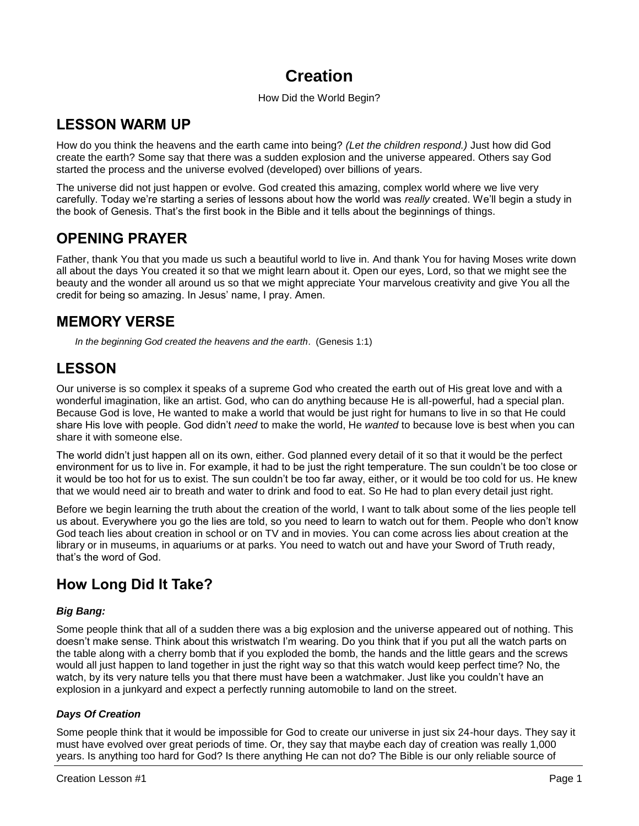# **Creation**

## How Did the World Begin?

# **LESSON WARM UP**

How do you think the heavens and the earth came into being? *(Let the children respond.)* Just how did God create the earth? Some say that there was a sudden explosion and the universe appeared. Others say God started the process and the universe evolved (developed) over billions of years.

The universe did not just happen or evolve. God created this amazing, complex world where we live very carefully. Today we're starting a series of lessons about how the world was *really* created. We'll begin a study in the book of Genesis. That's the first book in the Bible and it tells about the beginnings of things.

# **OPENING PRAYER**

Father, thank You that you made us such a beautiful world to live in. And thank You for having Moses write down all about the days You created it so that we might learn about it. Open our eyes, Lord, so that we might see the beauty and the wonder all around us so that we might appreciate Your marvelous creativity and give You all the credit for being so amazing. In Jesus' name, I pray. Amen.

## **MEMORY VERSE**

*In the beginning God created the heavens and the earth*. (Genesis 1:1)

# **LESSON**

Our universe is so complex it speaks of a supreme God who created the earth out of His great love and with a wonderful imagination, like an artist. God, who can do anything because He is all-powerful, had a special plan. Because God is love, He wanted to make a world that would be just right for humans to live in so that He could share His love with people. God didn't *need* to make the world, He *wanted* to because love is best when you can share it with someone else.

The world didn't just happen all on its own, either. God planned every detail of it so that it would be the perfect environment for us to live in. For example, it had to be just the right temperature. The sun couldn't be too close or it would be too hot for us to exist. The sun couldn't be too far away, either, or it would be too cold for us. He knew that we would need air to breath and water to drink and food to eat. So He had to plan every detail just right.

Before we begin learning the truth about the creation of the world, I want to talk about some of the lies people tell us about. Everywhere you go the lies are told, so you need to learn to watch out for them. People who don't know God teach lies about creation in school or on TV and in movies. You can come across lies about creation at the library or in museums, in aquariums or at parks. You need to watch out and have your Sword of Truth ready, that's the word of God.

# **How Long Did It Take?**

## *Big Bang:*

Some people think that all of a sudden there was a big explosion and the universe appeared out of nothing. This doesn't make sense. Think about this wristwatch I'm wearing. Do you think that if you put all the watch parts on the table along with a cherry bomb that if you exploded the bomb, the hands and the little gears and the screws would all just happen to land together in just the right way so that this watch would keep perfect time? No, the watch, by its very nature tells you that there must have been a watchmaker. Just like you couldn't have an explosion in a junkyard and expect a perfectly running automobile to land on the street.

## *Days Of Creation*

Some people think that it would be impossible for God to create our universe in just six 24-hour days. They say it must have evolved over great periods of time. Or, they say that maybe each day of creation was really 1,000 years. Is anything too hard for God? Is there anything He can not do? The Bible is our only reliable source of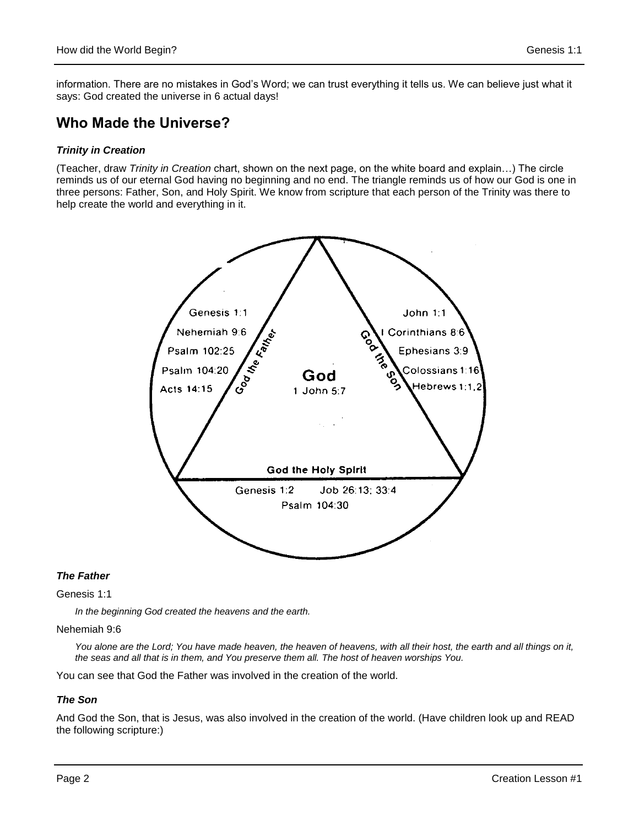information. There are no mistakes in God's Word; we can trust everything it tells us. We can believe just what it says: God created the universe in 6 actual days!

## **Who Made the Universe?**

## *Trinity in Creation*

(Teacher, draw *Trinity in Creation* chart, shown on the next page, on the white board and explain…) The circle reminds us of our eternal God having no beginning and no end. The triangle reminds us of how our God is one in three persons: Father, Son, and Holy Spirit. We know from scripture that each person of the Trinity was there to help create the world and everything in it.



## *The Father*

#### Genesis 1:1

*In the beginning God created the heavens and the earth.*

#### Nehemiah 9:6

You alone are the Lord; You have made heaven, the heaven of heavens, with all their host, the earth and all things on it, *the seas and all that is in them, and You preserve them all. The host of heaven worships You.*

You can see that God the Father was involved in the creation of the world.

#### *The Son*

And God the Son, that is Jesus, was also involved in the creation of the world. (Have children look up and READ the following scripture:)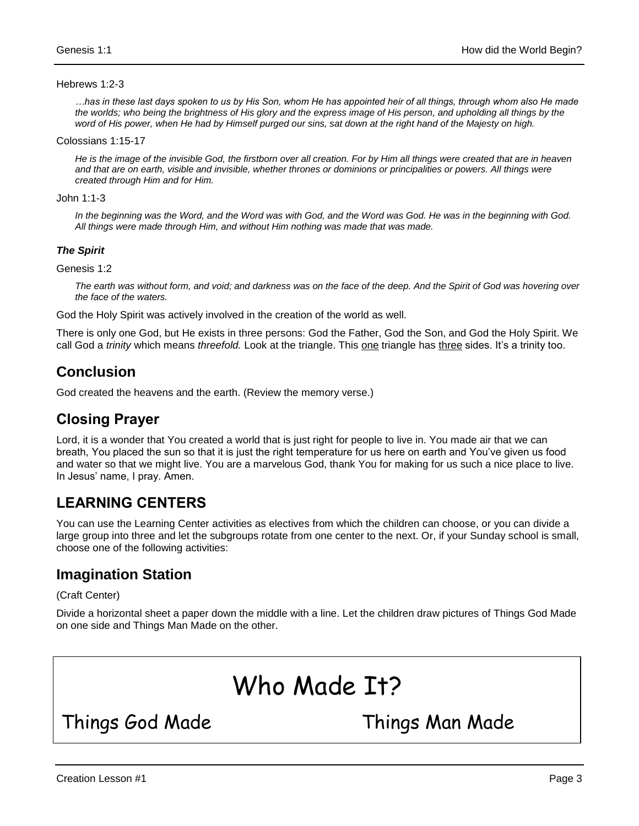#### Hebrews 1:2-3

*…has in these last days spoken to us by His Son, whom He has appointed heir of all things, through whom also He made the worlds; who being the brightness of His glory and the express image of His person, and upholding all things by the word of His power, when He had by Himself purged our sins, sat down at the right hand of the Majesty on high.*

#### Colossians 1:15-17

*He is the image of the invisible God, the firstborn over all creation. For by Him all things were created that are in heaven and that are on earth, visible and invisible, whether thrones or dominions or principalities or powers. All things were created through Him and for Him.*

#### John 1:1-3

In the beginning was the Word, and the Word was with God, and the Word was God. He was in the beginning with God. *All things were made through Him, and without Him nothing was made that was made.*

#### *The Spirit*

Genesis 1:2

*The earth was without form, and void; and darkness was on the face of the deep. And the Spirit of God was hovering over the face of the waters.*

God the Holy Spirit was actively involved in the creation of the world as well.

There is only one God, but He exists in three persons: God the Father, God the Son, and God the Holy Spirit. We call God a *trinity* which means *threefold.* Look at the triangle. This one triangle has three sides. It's a trinity too.

## **Conclusion**

God created the heavens and the earth. (Review the memory verse.)

## **Closing Prayer**

Lord, it is a wonder that You created a world that is just right for people to live in. You made air that we can breath, You placed the sun so that it is just the right temperature for us here on earth and You've given us food and water so that we might live. You are a marvelous God, thank You for making for us such a nice place to live. In Jesus' name, I pray. Amen.

## **LEARNING CENTERS**

You can use the Learning Center activities as electives from which the children can choose, or you can divide a large group into three and let the subgroups rotate from one center to the next. Or, if your Sunday school is small, choose one of the following activities:

## **Imagination Station**

(Craft Center)

Divide a horizontal sheet a paper down the middle with a line. Let the children draw pictures of Things God Made on one side and Things Man Made on the other.

# Who Made It?

Things God Made Things Man Made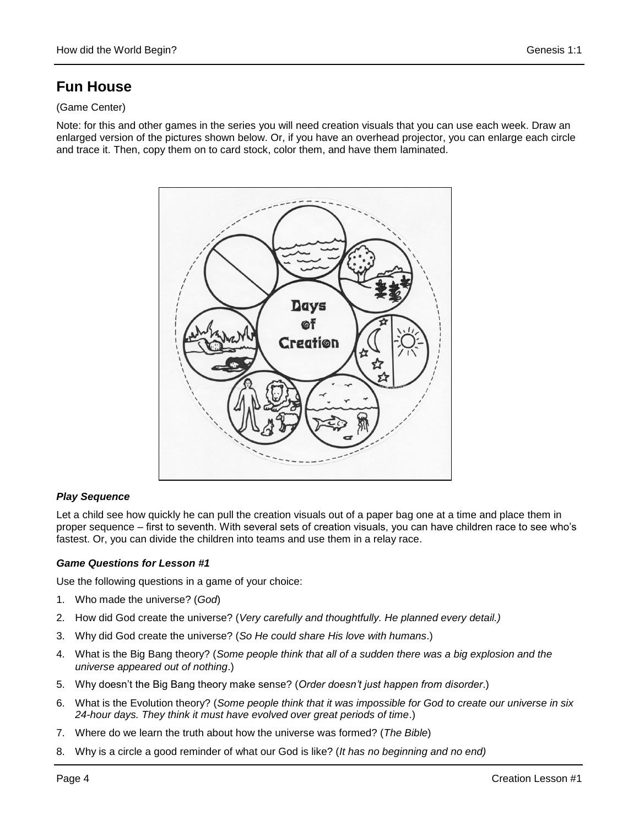# **Fun House**

## (Game Center)

Note: for this and other games in the series you will need creation visuals that you can use each week. Draw an enlarged version of the pictures shown below. Or, if you have an overhead projector, you can enlarge each circle and trace it. Then, copy them on to card stock, color them, and have them laminated.



## *Play Sequence*

Let a child see how quickly he can pull the creation visuals out of a paper bag one at a time and place them in proper sequence – first to seventh. With several sets of creation visuals, you can have children race to see who's fastest. Or, you can divide the children into teams and use them in a relay race.

## *Game Questions for Lesson #1*

Use the following questions in a game of your choice:

- 1. Who made the universe? (*God*)
- 2. How did God create the universe? (*Very carefully and thoughtfully. He planned every detail.)*
- 3. Why did God create the universe? (*So He could share His love with humans*.)
- 4. What is the Big Bang theory? (*Some people think that all of a sudden there was a big explosion and the universe appeared out of nothing*.)
- 5. Why doesn't the Big Bang theory make sense? (*Order doesn't just happen from disorder*.)
- 6. What is the Evolution theory? (*Some people think that it was impossible for God to create our universe in six 24-hour days. They think it must have evolved over great periods of time*.)
- 7. Where do we learn the truth about how the universe was formed? (*The Bible*)
- 8. Why is a circle a good reminder of what our God is like? (*It has no beginning and no end)*